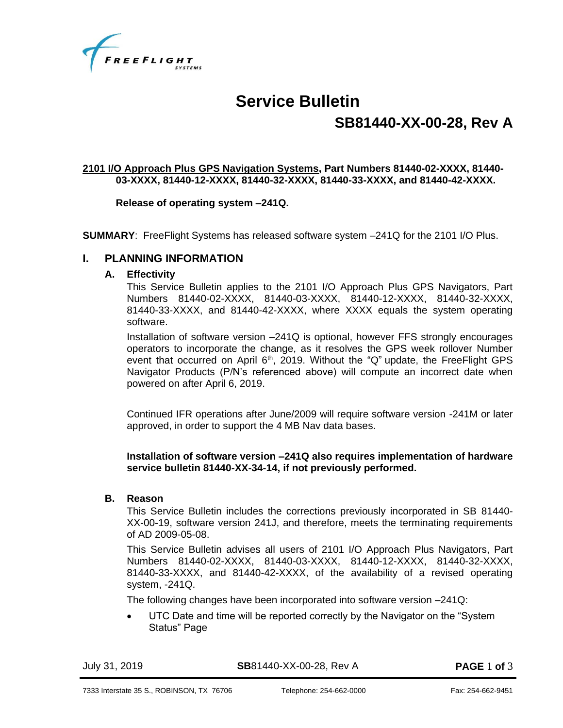

# **Service Bulletin SB81440-XX-00-28, Rev A**

## **2101 I/O Approach Plus GPS Navigation Systems, Part Numbers 81440-02-XXXX, 81440- 03-XXXX, 81440-12-XXXX, 81440-32-XXXX, 81440-33-XXXX, and 81440-42-XXXX.**

**Release of operating system –241Q.**

**SUMMARY**: FreeFlight Systems has released software system –241Q for the 2101 I/O Plus.

#### **I. PLANNING INFORMATION**

#### **A. Effectivity**

This Service Bulletin applies to the 2101 I/O Approach Plus GPS Navigators, Part Numbers 81440-02-XXXX, 81440-03-XXXX, 81440-12-XXXX, 81440-32-XXXX, 81440-33-XXXX, and 81440-42-XXXX, where XXXX equals the system operating software.

Installation of software version –241Q is optional, however FFS strongly encourages operators to incorporate the change, as it resolves the GPS week rollover Number event that occurred on April 6<sup>th</sup>, 2019. Without the "Q" update, the FreeFlight GPS Navigator Products (P/N's referenced above) will compute an incorrect date when powered on after April 6, 2019.

Continued IFR operations after June/2009 will require software version -241M or later approved, in order to support the 4 MB Nav data bases.

#### **Installation of software version –241Q also requires implementation of hardware service bulletin 81440-XX-34-14, if not previously performed.**

#### **B. Reason**

This Service Bulletin includes the corrections previously incorporated in SB 81440- XX-00-19, software version 241J, and therefore, meets the terminating requirements of AD 2009-05-08.

This Service Bulletin advises all users of 2101 I/O Approach Plus Navigators, Part Numbers 81440-02-XXXX, 81440-03-XXXX, 81440-12-XXXX, 81440-32-XXXX, 81440-33-XXXX, and 81440-42-XXXX, of the availability of a revised operating system, -241Q.

The following changes have been incorporated into software version –241Q:

• UTC Date and time will be reported correctly by the Navigator on the "System Status" Page

| July 31, 2019 |  |  |
|---------------|--|--|
|---------------|--|--|

July 31, 2019 **SB**81440-XX-00-28, Rev A **PAGE** 1 **of** 3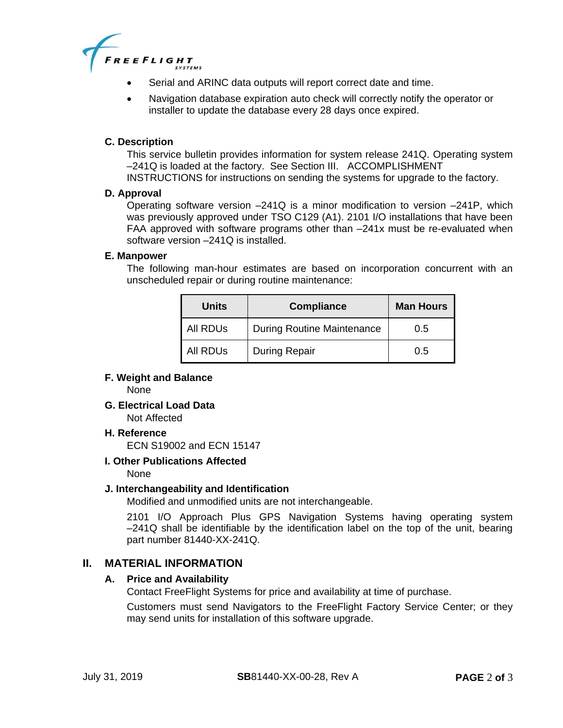

- Serial and ARINC data outputs will report correct date and time.
- Navigation database expiration auto check will correctly notify the operator or installer to update the database every 28 days once expired.

#### **C. Description**

This service bulletin provides information for system release 241Q. Operating system –241Q is loaded at the factory. See Section III. [ACCOMPLISHMENT](#page-2-0)  [INSTRUCTIONS](#page-2-0) for instructions on sending the systems for upgrade to the factory.

#### **D. Approval**

Operating software version –241Q is a minor modification to version –241P, which was previously approved under TSO C129 (A1). 2101 I/O installations that have been FAA approved with software programs other than –241x must be re-evaluated when software version –241Q is installed.

#### **E. Manpower**

The following man-hour estimates are based on incorporation concurrent with an unscheduled repair or during routine maintenance:

| Units    | <b>Compliance</b>                 | <b>Man Hours</b> |
|----------|-----------------------------------|------------------|
| All RDUs | <b>During Routine Maintenance</b> | 0.5              |
| All RDUs | <b>During Repair</b>              | 0.5              |

#### **F. Weight and Balance**

None

**G. Electrical Load Data**

Not Affected

#### **H. Reference**

ECN S19002 and ECN 15147

#### **I. Other Publications Affected**

None

#### **J. Interchangeability and Identification**

Modified and unmodified units are not interchangeable.

2101 I/O Approach Plus GPS Navigation Systems having operating system –241Q shall be identifiable by the identification label on the top of the unit, bearing part number 81440-XX-241Q.

## **II. MATERIAL INFORMATION**

#### **A. Price and Availability**

Contact FreeFlight Systems for price and availability at time of purchase.

Customers must send Navigators to the FreeFlight Factory Service Center; or they may send units for installation of this software upgrade.